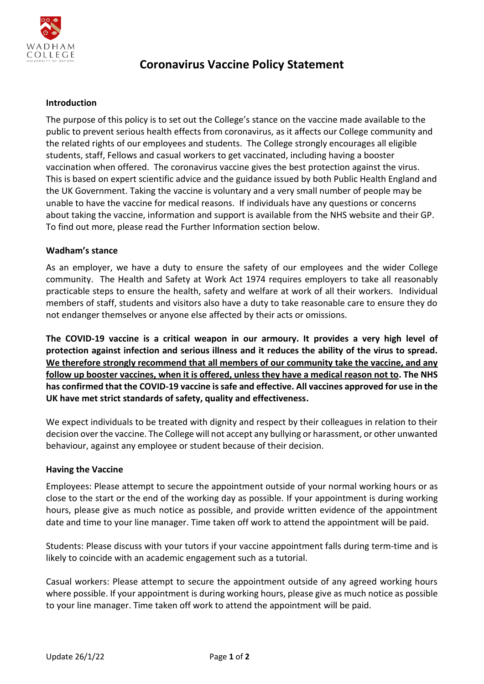

# **Coronavirus Vaccine Policy Statement**

## **Introduction**

The purpose of this policy is to set out the College's stance on the vaccine made available to the public to prevent serious health effects from coronavirus, as it affects our College community and the related rights of our employees and students. The College strongly encourages all eligible students, staff, Fellows and casual workers to get vaccinated, including having a booster vaccination when offered. The coronavirus vaccine gives the best protection against the virus. This is based on expert scientific advice and the guidance issued by both Public Health England and the UK Government. Taking the vaccine is voluntary and a very small number of people may be unable to have the vaccine for medical reasons. If individuals have any questions or concerns about taking the vaccine, information and support is available from the NHS website and their GP. To find out more, please read the Further Information section below.

### **Wadham's stance**

As an employer, we have a duty to ensure the safety of our employees and the wider College community. The Health and Safety at Work Act 1974 requires employers to take all reasonably practicable steps to ensure the health, safety and welfare at work of all their workers. Individual members of staff, students and visitors also have a duty to take reasonable care to ensure they do not endanger themselves or anyone else affected by their acts or omissions.

**The COVID-19 vaccine is a critical weapon in our armoury. It provides a very high level of protection against infection and serious illness and it reduces the ability of the virus to spread. We therefore strongly recommend that all members of our community take the vaccine, and any follow up booster vaccines, when it is offered, unless they have a medical reason not to. The NHS has confirmed that the COVID-19 vaccine is safe and effective. All vaccines approved for use in the UK have met strict standards of safety, quality and effectiveness.**

We expect individuals to be treated with dignity and respect by their colleagues in relation to their decision over the vaccine. The College will not accept any bullying or harassment, or other unwanted behaviour, against any employee or student because of their decision.

### **Having the Vaccine**

Employees: Please attempt to secure the appointment outside of your normal working hours or as close to the start or the end of the working day as possible. If your appointment is during working hours, please give as much notice as possible, and provide written evidence of the appointment date and time to your line manager. Time taken off work to attend the appointment will be paid.

Students: Please discuss with your tutors if your vaccine appointment falls during term-time and is likely to coincide with an academic engagement such as a tutorial.

Casual workers: Please attempt to secure the appointment outside of any agreed working hours where possible. If your appointment is during working hours, please give as much notice as possible to your line manager. Time taken off work to attend the appointment will be paid.